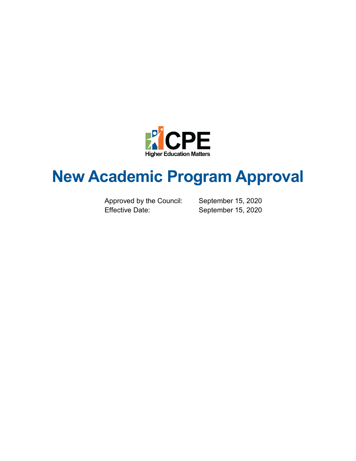

# **New Academic Program Approval**

Approved by the Council: September 15, 2020 Effective Date: September 15, 2020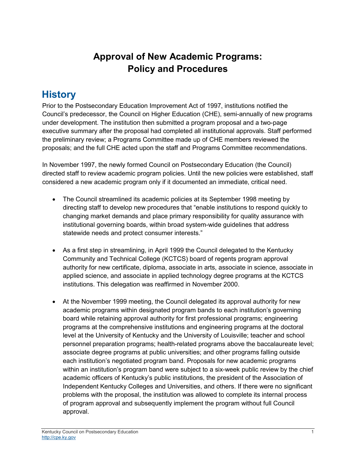# **Approval of New Academic Programs: Policy and Procedures**

# **History**

Prior to the Postsecondary Education Improvement Act of 1997, institutions notified the Council's predecessor, the Council on Higher Education (CHE), semi-annually of new programs under development. The institution then submitted a program proposal and a two-page executive summary after the proposal had completed all institutional approvals. Staff performed the preliminary review; a Programs Committee made up of CHE members reviewed the proposals; and the full CHE acted upon the staff and Programs Committee recommendations.

In November 1997, the newly formed Council on Postsecondary Education (the Council) directed staff to review academic program policies. Until the new policies were established, staff considered a new academic program only if it documented an immediate, critical need.

- The Council streamlined its academic policies at its September 1998 meeting by directing staff to develop new procedures that "enable institutions to respond quickly to changing market demands and place primary responsibility for quality assurance with institutional governing boards, within broad system-wide guidelines that address statewide needs and protect consumer interests."
- As a first step in streamlining, in April 1999 the Council delegated to the Kentucky Community and Technical College (KCTCS) board of regents program approval authority for new certificate, diploma, associate in arts, associate in science, associate in applied science, and associate in applied technology degree programs at the KCTCS institutions. This delegation was reaffirmed in November 2000.
- At the November 1999 meeting, the Council delegated its approval authority for new academic programs within designated program bands to each institution's governing board while retaining approval authority for first professional programs; engineering programs at the comprehensive institutions and engineering programs at the doctoral level at the University of Kentucky and the University of Louisville; teacher and school personnel preparation programs; health-related programs above the baccalaureate level; associate degree programs at public universities; and other programs falling outside each institution's negotiated program band. Proposals for new academic programs within an institution's program band were subject to a six-week public review by the chief academic officers of Kentucky's public institutions, the president of the Association of Independent Kentucky Colleges and Universities, and others. If there were no significant problems with the proposal, the institution was allowed to complete its internal process of program approval and subsequently implement the program without full Council approval.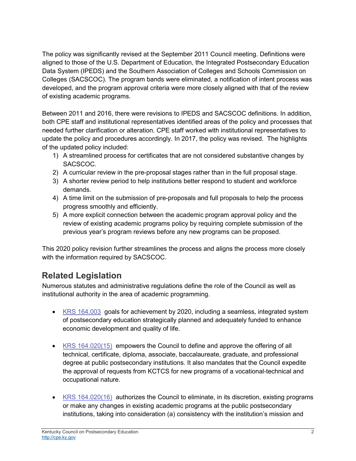The policy was significantly revised at the September 2011 Council meeting. Definitions were aligned to those of the U.S. Department of Education, the Integrated Postsecondary Education Data System (IPEDS) and the Southern Association of Colleges and Schools Commission on Colleges (SACSCOC). The program bands were eliminated, a notification of intent process was developed, and the program approval criteria were more closely aligned with that of the review of existing academic programs.

Between 2011 and 2016, there were revisions to IPEDS and SACSCOC definitions. In addition, both CPE staff and institutional representatives identified areas of the policy and processes that needed further clarification or alteration. CPE staff worked with institutional representatives to update the policy and procedures accordingly. In 2017, the policy was revised. The highlights of the updated policy included:

- 1) A streamlined process for certificates that are not considered substantive changes by SACSCOC.
- 2) A curricular review in the pre-proposal stages rather than in the full proposal stage.
- 3) A shorter review period to help institutions better respond to student and workforce demands.
- 4) A time limit on the submission of pre-proposals and full proposals to help the process progress smoothly and efficiently.
- 5) A more explicit connection between the academic program approval policy and the review of existing academic programs policy by requiring complete submission of the previous year's program reviews before any new programs can be proposed.

This 2020 policy revision further streamlines the process and aligns the process more closely with the information required by SACSCOC.

### **Related Legislation**

Numerous statutes and administrative regulations define the role of the Council as well as institutional authority in the area of academic programming.

- [KRS 164.003](https://apps.legislature.ky.gov/law/statutes/statute.aspx?id=4158) goals for achievement by 2020, including a seamless, integrated system of postsecondary education strategically planned and adequately funded to enhance economic development and quality of life.
- [KRS 164.020\(15\)](https://apps.legislature.ky.gov/law/statutes/statute.aspx?id=49112) [em](https://apps.legislature.ky.gov/law/statutes/statute.aspx?id=49112)powers the Council to define and approve the offering of all technical, certificate, diploma, associate, baccalaureate, graduate, and professional degree at public postsecondary institutions. It also mandates that the Council expedite the approval of requests from KCTCS for new programs of a vocational-technical and occupational nature.
- [KRS 164.020\(16\)](https://apps.legislature.ky.gov/law/statutes/statute.aspx?id=49112) authorizes the Council to eliminate, in its discretion, existing programs or make any changes in existing academic programs at the public postsecondary institutions, taking into consideration (a) consistency with the institution's mission and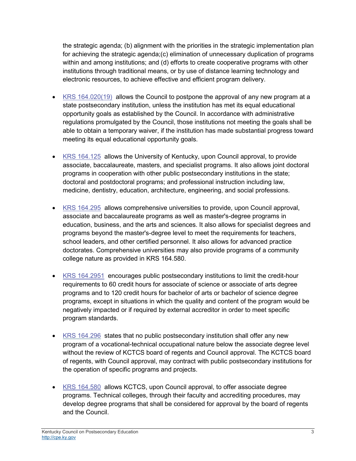the strategic agenda; (b) alignment with the priorities in the strategic implementation plan for achieving the strategic agenda;(c) elimination of unnecessary duplication of programs within and among institutions; and (d) efforts to create cooperative programs with other institutions through traditional means, or by use of distance learning technology and electronic resources, to achieve effective and efficient program delivery.

- [KRS 164.020\(19\)](https://apps.legislature.ky.gov/law/statutes/statute.aspx?id=49112) allows the Council to postpone the approval of any new program at a state postsecondary institution, unless the institution has met its equal educational opportunity goals as established by the Council. In accordance with administrative regulations promulgated by the Council, those institutions not meeting the goals shall be able to obtain a temporary waiver, if the institution has made substantial progress toward meeting its equal educational opportunity goals.
- [KRS 164.125](https://apps.legislature.ky.gov/law/statutes/statute.aspx?id=4209) allows the University of Kentucky, upon Council approval, to provide associate, baccalaureate, masters, and specialist programs. It also allows joint doctoral programs in cooperation with other public postsecondary institutions in the state; doctoral and postdoctoral programs; and professional instruction including law, medicine, dentistry, education, architecture, engineering, and social professions.
- [KRS 164.295](https://apps.legislature.ky.gov/law/statutes/statute.aspx?id=40152) [al](http://www.lrc.ky.gov/Statutes/statute.aspx?id=40152)lows comprehensive universities to provide, upon Council approval, associate and baccalaureate programs as well as master's-degree programs in education, business, and the arts and sciences. It also allows for specialist degrees and programs beyond the master's-degree level to meet the requirements for teachers, school leaders, and other certified personnel. It also allows for advanced practice doctorates. Comprehensive universities may also provide programs of a community college nature as provided in KRS 164.580.
- [KRS 164.2951](https://apps.legislature.ky.gov/law/statutes/statute.aspx?id=4253) encourages public postsecondary institutions to limit the credit-hour requirements to 60 credit hours for associate of science or associate of arts degree programs and to 120 credit hours for bachelor of arts or bachelor of science degree programs, except in situations in which the quality and content of the program would be negatively impacted or if required by external accreditor in order to meet specific program standards.
- [KRS 164.296](https://apps.legislature.ky.gov/law/statutes/statute.aspx?id=4254) states that no public postsecondary institution shall offer any new program of a vocational-technical occupational nature below the associate degree level without the review of KCTCS board of regents and Council approval. The KCTCS board of regents, with Council approval, may contract with public postsecondary institutions for the operation of specific programs and projects.
- [KRS 164.580](https://apps.legislature.ky.gov/law/statutes/statute.aspx?id=4325) allows KCTCS, upon Council approval, to offer associate degree programs. Technical colleges, through their faculty and accrediting procedures, may develop degree programs that shall be considered for approval by the board of regents and the Council.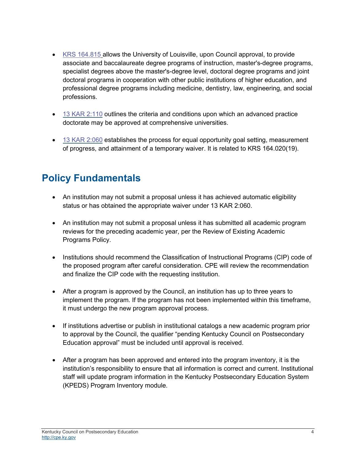- [KRS 164.815](https://apps.legislature.ky.gov/law/statutes/statute.aspx?id=4466) allows the University of Louisville, upon Council approval, to provide associate and baccalaureate degree programs of instruction, master's-degree programs, specialist degrees above the master's-degree level, doctoral degree programs and joint doctoral programs in cooperation with other public institutions of higher education, and professional degree programs including medicine, dentistry, law, engineering, and social professions.
- [13 KAR 2:110](https://apps.legislature.ky.gov/Law/KAR/013/002/110.pdf) outlines the criteria and conditions upon which an advanced practice doctorate may be approved at comprehensive universities.
- [13 KAR 2:060](https://apps.legislature.ky.gov/Law/KAR/013/002/060.pdf) establishes the process for equal opportunity goal setting, measurement of progress, and attainment of a temporary waiver. It is related to KRS 164.020(19).

# **Policy Fundamentals**

- An institution may not submit a proposal unless it has achieved automatic eligibility status or has obtained the appropriate waiver under 13 KAR 2:060.
- An institution may not submit a proposal unless it has submitted all academic program reviews for the preceding academic year, per the Review of Existing Academic Programs Policy.
- Institutions should recommend the Classification of Instructional Programs (CIP) code of the proposed program after careful consideration. CPE will review the recommendation and finalize the CIP code with the requesting institution.
- After a program is approved by the Council, an institution has up to three years to implement the program. If the program has not been implemented within this timeframe, it must undergo the new program approval process.
- If institutions advertise or publish in institutional catalogs a new academic program prior to approval by the Council, the qualifier "pending Kentucky Council on Postsecondary Education approval" must be included until approval is received.
- After a program has been approved and entered into the program inventory, it is the institution's responsibility to ensure that all information is correct and current. Institutional staff will update program information in the Kentucky Postsecondary Education System (KPEDS) Program Inventory module.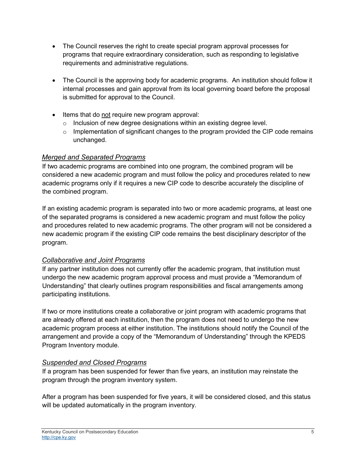- The Council reserves the right to create special program approval processes for programs that require extraordinary consideration, such as responding to legislative requirements and administrative regulations.
- The Council is the approving body for academic programs. An institution should follow it internal processes and gain approval from its local governing board before the proposal is submitted for approval to the Council.
- Items that do not require new program approval:
	- o Inclusion of new degree designations within an existing degree level.
	- $\circ$  Implementation of significant changes to the program provided the CIP code remains unchanged.

#### *Merged and Separated Programs*

If two academic programs are combined into one program, the combined program will be considered a new academic program and must follow the policy and procedures related to new academic programs only if it requires a new CIP code to describe accurately the discipline of the combined program.

If an existing academic program is separated into two or more academic programs, at least one of the separated programs is considered a new academic program and must follow the policy and procedures related to new academic programs. The other program will not be considered a new academic program if the existing CIP code remains the best disciplinary descriptor of the program.

#### *Collaborative and Joint Programs*

If any partner institution does not currently offer the academic program, that institution must undergo the new academic program approval process and must provide a "Memorandum of Understanding" that clearly outlines program responsibilities and fiscal arrangements among participating institutions.

If two or more institutions create a collaborative or joint program with academic programs that are already offered at each institution, then the program does not need to undergo the new academic program process at either institution. The institutions should notify the Council of the arrangement and provide a copy of the "Memorandum of Understanding" through the KPEDS Program Inventory module.

#### *Suspended and Closed Programs*

If a program has been suspended for fewer than five years, an institution may reinstate the program through the program inventory system.

After a program has been suspended for five years, it will be considered closed, and this status will be updated automatically in the program inventory.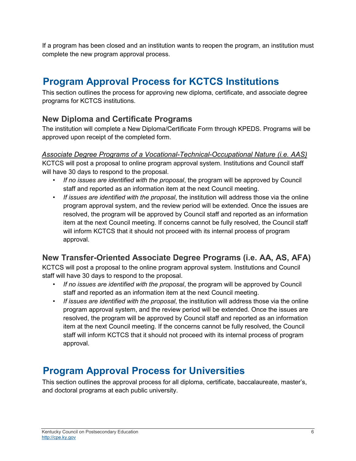If a program has been closed and an institution wants to reopen the program, an institution must complete the new program approval process.

# **Program Approval Process for KCTCS Institutions**

This section outlines the process for approving new diploma, certificate, and associate degree programs for KCTCS institutions.

#### **New Diploma and Certificate Programs**

The institution will complete a New Diploma/Certificate Form through KPEDS. Programs will be approved upon receipt of the completed form.

*Associate Degree Programs of a Vocational-Technical-Occupational Nature (i.e. AAS)* KCTCS will post a proposal to online program approval system. Institutions and Council staff will have 30 days to respond to the proposal.

- *If no issues are identified with the proposal*, the program will be approved by Council staff and reported as an information item at the next Council meeting.
- *If issues are identified with the proposal*, the institution will address those via the online program approval system, and the review period will be extended. Once the issues are resolved, the program will be approved by Council staff and reported as an information item at the next Council meeting. If concerns cannot be fully resolved, the Council staff will inform KCTCS that it should not proceed with its internal process of program approval.

### **New Transfer-Oriented Associate Degree Programs (i.e. AA, AS, AFA)**

KCTCS will post a proposal to the online program approval system. Institutions and Council staff will have 30 days to respond to the proposal.

- *If no issues are identified with the proposal*, the program will be approved by Council staff and reported as an information item at the next Council meeting.
- *If issues are identified with the proposal*, the institution will address those via the online program approval system, and the review period will be extended. Once the issues are resolved, the program will be approved by Council staff and reported as an information item at the next Council meeting. If the concerns cannot be fully resolved, the Council staff will inform KCTCS that it should not proceed with its internal process of program approval.

### **Program Approval Process for Universities**

This section outlines the approval process for all diploma, certificate, baccalaureate, master's, and doctoral programs at each public university.